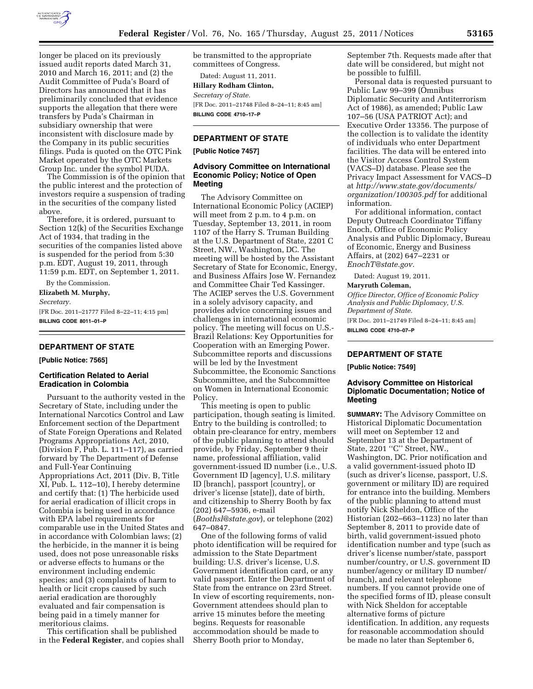

longer be placed on its previously issued audit reports dated March 31, 2010 and March 16, 2011; and (2) the Audit Committee of Puda's Board of Directors has announced that it has preliminarily concluded that evidence supports the allegation that there were transfers by Puda's Chairman in subsidiary ownership that were inconsistent with disclosure made by the Company in its public securities filings. Puda is quoted on the OTC Pink Market operated by the OTC Markets Group Inc. under the symbol PUDA.

The Commission is of the opinion that the public interest and the protection of investors require a suspension of trading in the securities of the company listed above.

Therefore, it is ordered, pursuant to Section 12(k) of the Securities Exchange Act of 1934, that trading in the securities of the companies listed above is suspended for the period from 5:30 p.m. EDT, August 19, 2011, through 11:59 p.m. EDT, on September 1, 2011.

By the Commission.

**Elizabeth M. Murphy,**  *Secretary.* 

[FR Doc. 2011–21777 Filed 8–22–11; 4:15 pm] **BILLING CODE 8011–01–P** 

### **DEPARTMENT OF STATE**

**[Public Notice: 7565]** 

### **Certification Related to Aerial Eradication in Colombia**

Pursuant to the authority vested in the Secretary of State, including under the International Narcotics Control and Law Enforcement section of the Department of State Foreign Operations and Related Programs Appropriations Act, 2010, (Division F, Pub. L. 111–117), as carried forward by The Department of Defense and Full-Year Continuing Appropriations Act, 2011 (Div. B, Title XI, Pub. L. 112–10), I hereby determine and certify that: (1) The herbicide used for aerial eradication of illicit crops in Colombia is being used in accordance with EPA label requirements for comparable use in the United States and in accordance with Colombian laws; (2) the herbicide, in the manner it is being used, does not pose unreasonable risks or adverse effects to humans or the environment including endemic species; and (3) complaints of harm to health or licit crops caused by such aerial eradication are thoroughly evaluated and fair compensation is being paid in a timely manner for meritorious claims.

This certification shall be published in the **Federal Register**, and copies shall be transmitted to the appropriate committees of Congress.

Dated: August 11, 2011. **Hillary Rodham Clinton,**  *Secretary of State.*  [FR Doc. 2011–21748 Filed 8–24–11; 8:45 am] **BILLING CODE 4710–17–P** 

### **DEPARTMENT OF STATE**

### **[Public Notice 7457]**

### **Advisory Committee on International Economic Policy; Notice of Open Meeting**

The Advisory Committee on International Economic Policy (ACIEP) will meet from 2 p.m. to 4 p.m. on Tuesday, September 13, 2011, in room 1107 of the Harry S. Truman Building at the U.S. Department of State, 2201 C Street, NW., Washington, DC. The meeting will be hosted by the Assistant Secretary of State for Economic, Energy, and Business Affairs Jose W. Fernandez and Committee Chair Ted Kassinger. The ACIEP serves the U.S. Government in a solely advisory capacity, and provides advice concerning issues and challenges in international economic policy. The meeting will focus on U.S.- Brazil Relations: Key Opportunities for Cooperation with an Emerging Power. Subcommittee reports and discussions will be led by the Investment Subcommittee, the Economic Sanctions Subcommittee, and the Subcommittee on Women in International Economic Policy.

This meeting is open to public participation, though seating is limited. Entry to the building is controlled; to obtain pre-clearance for entry, members of the public planning to attend should provide, by Friday, September 9 their name, professional affiliation, valid government-issued ID number (i.e., U.S. Government ID [agency], U.S. military ID [branch], passport [country], or driver's license [state]), date of birth, and citizenship to Sherry Booth by fax (202) 647–5936, e-mail (*[Boothsl@state.gov](mailto:Boothsl@state.gov)*), or telephone (202) 647–0847.

One of the following forms of valid photo identification will be required for admission to the State Department building: U.S. driver's license, U.S. Government identification card, or any valid passport. Enter the Department of State from the entrance on 23rd Street. In view of escorting requirements, non-Government attendees should plan to arrive 15 minutes before the meeting begins. Requests for reasonable accommodation should be made to Sherry Booth prior to Monday,

September 7th. Requests made after that date will be considered, but might not be possible to fulfill.

Personal data is requested pursuant to Public Law 99–399 (Omnibus Diplomatic Security and Antiterrorism Act of 1986), as amended; Public Law 107–56 (USA PATRIOT Act); and Executive Order 13356. The purpose of the collection is to validate the identity of individuals who enter Department facilities. The data will be entered into the Visitor Access Control System (VACS–D) database. Please see the Privacy Impact Assessment for VACS–D at *[http://www.state.gov/documents/](http://www.state.gov/documents/organization/100305.pdf) [organization/100305.pdf](http://www.state.gov/documents/organization/100305.pdf)* for additional information.

For additional information, contact Deputy Outreach Coordinator Tiffany Enoch, Office of Economic Policy Analysis and Public Diplomacy, Bureau of Economic, Energy and Business Affairs, at (202) 647–2231 or *[EnochT@state.gov.](mailto:EnochT@state.gov)* 

Dated: August 19, 2011.

### **Maryruth Coleman,**

*Office Director, Office of Economic Policy Analysis and Public Diplomacy, U.S. Department of State.*  [FR Doc. 2011–21749 Filed 8–24–11; 8:45 am]

**BILLING CODE 4710–07–P** 

# **DEPARTMENT OF STATE**

**[Public Notice: 7549]** 

### **Advisory Committee on Historical Diplomatic Documentation; Notice of Meeting**

**SUMMARY:** The Advisory Committee on Historical Diplomatic Documentation will meet on September 12 and September 13 at the Department of State, 2201 "C" Street, NW., Washington, DC. Prior notification and a valid government-issued photo ID (such as driver's license, passport, U.S. government or military ID) are required for entrance into the building. Members of the public planning to attend must notify Nick Sheldon, Office of the Historian (202–663–1123) no later than September 8, 2011 to provide date of birth, valid government-issued photo identification number and type (such as driver's license number/state, passport number/country, or U.S. government ID number/agency or military ID number/ branch), and relevant telephone numbers. If you cannot provide one of the specified forms of ID, please consult with Nick Sheldon for acceptable alternative forms of picture identification. In addition, any requests for reasonable accommodation should be made no later than September 6,